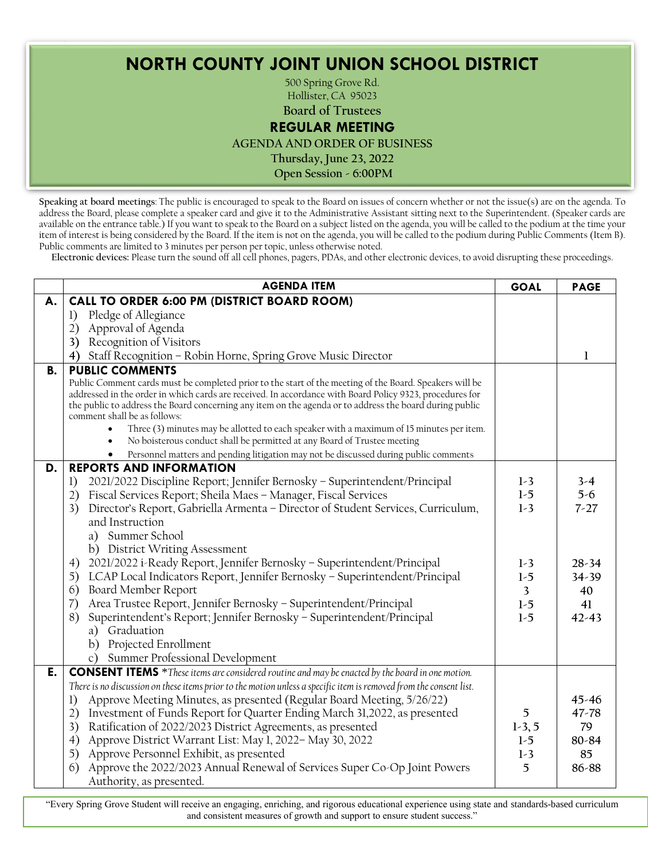**NORTH COUNTY JOINT UNION SCHOOL DISTRICT**

Regular Board Meeting: June 23, 2022

500 Spring Grove Rd. Hollister, CA 95023

**Board of Trustees**

## **REGULAR MEETING**

**AGENDA AND ORDER OF BUSINESS**

**Thursday, June 23, 2022**

**Open Session - 6:00PM**

**Speaking at board meetings**: The public is encouraged to speak to the Board on issues of concern whether or not the issue(s) are on the agenda. To address the Board, please complete a speaker card and give it to the Administrative Assistant sitting next to the Superintendent. (Speaker cards are available on the entrance table.) If you want to speak to the Board on a subject listed on the agenda, you will be called to the podium at the time your item of interest is being considered by the Board. If the item is not on the agenda, you will be called to the podium during Public Comments (Item B). Public comments are limited to 3 minutes per person per topic, unless otherwise noted.

**Electronic devices:** Please turn the sound off all cell phones, pagers, PDAs, and other electronic devices, to avoid disrupting these proceedings.

|    | <b>AGENDA ITEM</b>                                                                                                                                                                                                                                                                                                                                                                                                                                                                                                                                                                                                                                       | <b>GOAL</b>             | <b>PAGE</b> |
|----|----------------------------------------------------------------------------------------------------------------------------------------------------------------------------------------------------------------------------------------------------------------------------------------------------------------------------------------------------------------------------------------------------------------------------------------------------------------------------------------------------------------------------------------------------------------------------------------------------------------------------------------------------------|-------------------------|-------------|
| А. | CALL TO ORDER 6:00 PM (DISTRICT BOARD ROOM)                                                                                                                                                                                                                                                                                                                                                                                                                                                                                                                                                                                                              |                         |             |
|    | Pledge of Allegiance<br>1)                                                                                                                                                                                                                                                                                                                                                                                                                                                                                                                                                                                                                               |                         |             |
|    | Approval of Agenda<br>2)                                                                                                                                                                                                                                                                                                                                                                                                                                                                                                                                                                                                                                 |                         |             |
|    | Recognition of Visitors<br>3)                                                                                                                                                                                                                                                                                                                                                                                                                                                                                                                                                                                                                            |                         |             |
|    | 4) Staff Recognition - Robin Horne, Spring Grove Music Director                                                                                                                                                                                                                                                                                                                                                                                                                                                                                                                                                                                          |                         | 1           |
| В. | <b>PUBLIC COMMENTS</b><br>Public Comment cards must be completed prior to the start of the meeting of the Board. Speakers will be<br>addressed in the order in which cards are received. In accordance with Board Policy 9323, procedures for<br>the public to address the Board concerning any item on the agenda or to address the board during public<br>comment shall be as follows:<br>Three (3) minutes may be allotted to each speaker with a maximum of 15 minutes per item.<br>No boisterous conduct shall be permitted at any Board of Trustee meeting<br>Personnel matters and pending litigation may not be discussed during public comments |                         |             |
| D. | <b>REPORTS AND INFORMATION</b>                                                                                                                                                                                                                                                                                                                                                                                                                                                                                                                                                                                                                           |                         |             |
|    | 2021/2022 Discipline Report; Jennifer Bernosky - Superintendent/Principal<br>1)                                                                                                                                                                                                                                                                                                                                                                                                                                                                                                                                                                          | $1-3$                   | $3-4$       |
|    | Fiscal Services Report; Sheila Maes - Manager, Fiscal Services<br>2)                                                                                                                                                                                                                                                                                                                                                                                                                                                                                                                                                                                     | $1-5$                   | $5-6$       |
|    | Director's Report, Gabriella Armenta - Director of Student Services, Curriculum,<br>3)                                                                                                                                                                                                                                                                                                                                                                                                                                                                                                                                                                   | $1-3$                   | $7-27$      |
|    | and Instruction                                                                                                                                                                                                                                                                                                                                                                                                                                                                                                                                                                                                                                          |                         |             |
|    | a) Summer School                                                                                                                                                                                                                                                                                                                                                                                                                                                                                                                                                                                                                                         |                         |             |
|    | b) District Writing Assessment                                                                                                                                                                                                                                                                                                                                                                                                                                                                                                                                                                                                                           |                         |             |
|    | 2021/2022 i-Ready Report, Jennifer Bernosky - Superintendent/Principal<br>4)                                                                                                                                                                                                                                                                                                                                                                                                                                                                                                                                                                             | $1-3$                   | $28 - 34$   |
|    | LCAP Local Indicators Report, Jennifer Bernosky - Superintendent/Principal<br>5)                                                                                                                                                                                                                                                                                                                                                                                                                                                                                                                                                                         | $1-5$                   | $34 - 39$   |
|    | Board Member Report<br>6)                                                                                                                                                                                                                                                                                                                                                                                                                                                                                                                                                                                                                                | $\overline{\mathbf{3}}$ | 40          |
|    | Area Trustee Report, Jennifer Bernosky - Superintendent/Principal<br>(7)                                                                                                                                                                                                                                                                                                                                                                                                                                                                                                                                                                                 | $1-5$                   | 41          |
|    | 8)<br>Superintendent's Report; Jennifer Bernosky - Superintendent/Principal                                                                                                                                                                                                                                                                                                                                                                                                                                                                                                                                                                              | $1-5$                   | $42 - 43$   |
|    | a) Graduation                                                                                                                                                                                                                                                                                                                                                                                                                                                                                                                                                                                                                                            |                         |             |
|    | b) Projected Enrollment                                                                                                                                                                                                                                                                                                                                                                                                                                                                                                                                                                                                                                  |                         |             |
|    | c) Summer Professional Development                                                                                                                                                                                                                                                                                                                                                                                                                                                                                                                                                                                                                       |                         |             |
| E. | <b>CONSENT ITEMS</b> *These items are considered routine and may be enacted by the board in one motion.                                                                                                                                                                                                                                                                                                                                                                                                                                                                                                                                                  |                         |             |
|    | There is no discussion on these items prior to the motion unless a specific item is removed from the consent list.                                                                                                                                                                                                                                                                                                                                                                                                                                                                                                                                       |                         |             |
|    | Approve Meeting Minutes, as presented (Regular Board Meeting, 5/26/22)<br>1)                                                                                                                                                                                                                                                                                                                                                                                                                                                                                                                                                                             |                         | $45 - 46$   |
|    | Investment of Funds Report for Quarter Ending March 31,2022, as presented<br>2)                                                                                                                                                                                                                                                                                                                                                                                                                                                                                                                                                                          | 5                       | 47-78       |
|    | 3)<br>Ratification of 2022/2023 District Agreements, as presented                                                                                                                                                                                                                                                                                                                                                                                                                                                                                                                                                                                        | $1-3, 5$                | 79          |
|    | Approve District Warrant List: May 1, 2022- May 30, 2022<br>4)                                                                                                                                                                                                                                                                                                                                                                                                                                                                                                                                                                                           | $1-5$                   | 80-84       |
|    | Approve Personnel Exhibit, as presented<br>5)                                                                                                                                                                                                                                                                                                                                                                                                                                                                                                                                                                                                            | $1-3$                   | 85          |
|    | Approve the 2022/2023 Annual Renewal of Services Super Co-Op Joint Powers<br>6)<br>Authority, as presented.                                                                                                                                                                                                                                                                                                                                                                                                                                                                                                                                              | 5                       | 86-88       |

"Every Spring Grove Student will receive an engaging, enriching, and rigorous educational experience using state and standards-based curriculum and consistent measures of growth and support to ensure student success."